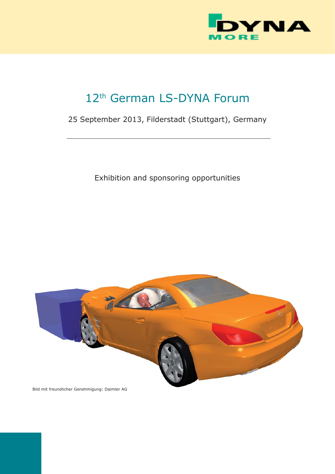

# 12<sup>th</sup> German LS-DYNA Forum

# 25 September 2013, Filderstadt (Stuttgart), Germany

Exhibition and sponsoring opportunities



Bild mit freundlicher Genehmigung: Daimler AG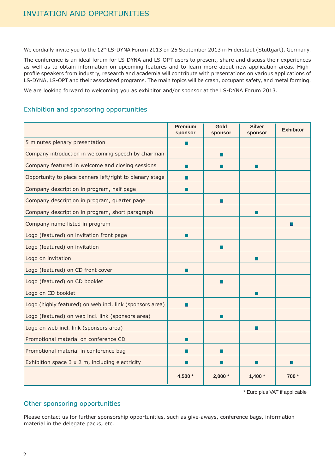We cordially invite you to the 12<sup>th</sup> LS-DYNA Forum 2013 on 25 September 2013 in Filderstadt (Stuttgart), Germany.

The conference is an ideal forum for LS-DYNA and LS-OPT users to present, share and discuss their experiences as well as to obtain information on upcoming features and to learn more about new application areas. Highprofile speakers from industry, research and academia will contribute with presentations on various applications of LS-DYNA, LS-OPT and their associated programs. The main topics will be crash, occupant safety, and metal forming.

We are looking forward to welcoming you as exhibitor and/or sponsor at the LS-DYNA Forum 2013.

# Exhibition and sponsoring opportunities

|                                                          | <b>Premium</b><br>sponsor | Gold<br>sponsor | <b>Silver</b><br>sponsor | <b>Exhibitor</b> |
|----------------------------------------------------------|---------------------------|-----------------|--------------------------|------------------|
| 5 minutes plenary presentation                           | П                         |                 |                          |                  |
| Company introduction in welcoming speech by chairman     |                           | $\Box$          |                          |                  |
| Company featured in welcome and closing sessions         | П                         | п               | П                        |                  |
| Opportunity to place banners left/right to plenary stage | H                         |                 |                          |                  |
| Company description in program, half page                | H                         |                 |                          |                  |
| Company description in program, quarter page             |                           | п               |                          |                  |
| Company description in program, short paragraph          |                           |                 | ш                        |                  |
| Company name listed in program                           |                           |                 |                          | I.               |
| Logo (featured) on invitation front page                 | $\Box$                    |                 |                          |                  |
| Logo (featured) on invitation                            |                           | П               |                          |                  |
| Logo on invitation                                       |                           |                 | П                        |                  |
| Logo (featured) on CD front cover                        | H                         |                 |                          |                  |
| Logo (featured) on CD booklet                            |                           | $\Box$          |                          |                  |
| Logo on CD booklet                                       |                           |                 | П                        |                  |
| Logo (highly featured) on web incl. link (sponsors area) | П                         |                 |                          |                  |
| Logo (featured) on web incl. link (sponsors area)        |                           | a l             |                          |                  |
| Logo on web incl. link (sponsors area)                   |                           |                 | П                        |                  |
| Promotional material on conference CD                    | П                         |                 |                          |                  |
| Promotional material in conference bag                   |                           | H.              |                          |                  |
| Exhibition space 3 x 2 m, including electricity          |                           |                 |                          |                  |
|                                                          | 4,500 *                   | $2,000*$        | $1,400*$                 | 700 *            |

\* Euro plus VAT if applicable

# Other sponsoring opportunities

Please contact us for further sponsorship opportunities, such as give-aways, conference bags, information material in the delegate packs, etc.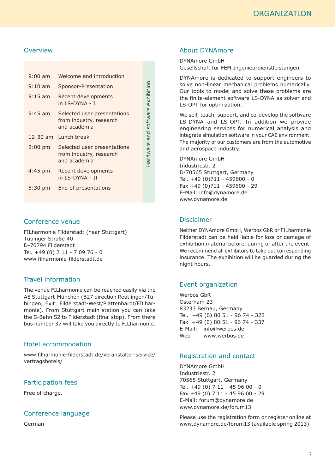# **Overview**

| $9:00 \text{ am}$ | Welcome and introduction                                               |
|-------------------|------------------------------------------------------------------------|
| $9:10 \text{ am}$ | Sponsor-Presentation                                                   |
| $9:15$ am         | Recent developments<br>in I S-DYNA - T                                 |
| $9:45$ am         | Selected user presentations<br>from industry, research<br>and academia |
|                   |                                                                        |
|                   | $12:30$ am Lunch break                                                 |
| $2:00$ pm         | Selected user presentations<br>from industry, research<br>and academia |
| $4:45$ pm         | Recent developments<br>in I S-DYNA - II                                |

Hardware and software exhibition

Hardware and software exhibition

#### Conference venue

FILharmonie Filderstadt (near Stuttgart) Tübinger Straße 40 D-70794 Filderstadt Tel. +49 (0) 7 11 - 7 09 76 - 0 www.filharmonie-filderstadt.de

# Travel information

The venue FILharmonie can be reached easily via the A8 Stuttgart-München (B27 direction Reutlingen/Tübingen, Exit: Filderstadt-West/Plattenhardt/FILharmonie). From Stuttgart main station you can take the S-Bahn S2 to Filderstadt (final stop). From there bus number 37 will take you directly to FILharmonie.

# Hotel accommodation

www.filharmonie-filderstadt.de/veranstalter-service/ vertragshotels/

#### Participation fees

Free of charge.

#### Conference language

German

#### About DYNAmore

DYNAmore GmbH Gesellschaft für FEM Ingenieurdienstleistungen

DYNAmore is dedicated to support engineers to solve non-linear mechanical problems numerically. Our tools to model and solve these problems are the finite-element software LS-DYNA as solver and LS-OPT for optimization.

We sell, teach, support, and co-develop the software LS-DYNA and LS-OPT. In addition we provide engineering services for numerical analysis and integrate simulation software in your CAE environment. The majority of our customers are from the automotive and aerospace industry.

DYNAmore GmbH Industriestr. 2 D-70565 Stuttgart, Germany Tel. +49 (0)711 - 459600 - 0 Fax +49 (0)711 - 459600 - 29 E-Mail: info@dynamore.de www.dynamore.de

# Disclaimer

Neither DYNAmore GmbH, Werbos GbR or FILharmonie Filderstadt can be held liable for loss or damage of exhibition material before, during or after the event. We recommend all exhibitors to take out corresponding insurance. The exhibition will be guarded during the night hours.

# Event organization

Werbos GbR Osterham 23 83233 Bernau, Germany Tel. +49 (0) 80 51 - 96 74 - 322 Fax +49 (0) 80 51 - 96 74 - 337 E-Mail: info@werbos.de Web www.werbos.de

#### Registration and contact

DYNAmore GmbH Industriestr. 2 70565 Stuttgart, Germany Tel. +49 (0) 7 11 - 45 96 00 - 0 Fax +49 (0) 7 11 - 45 96 00 - 29 E-Mail: forum@dynamore.de www.dynamore.de/forum13

Please use the registration form or register online at www.dynamore.de/forum13 (available spring 2013).